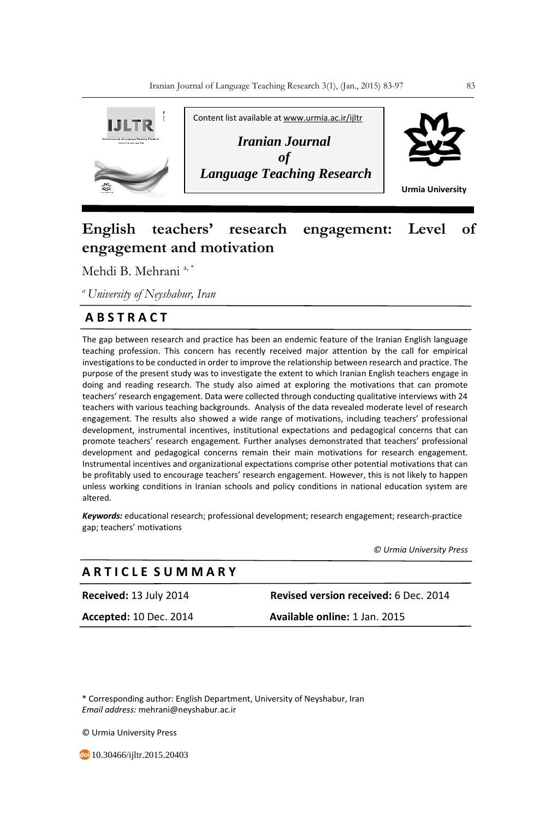

# **English teachers' research engagement: Level of engagement and motivation**

Mehdi B. Mehrani<sup>a,\*</sup>

*<sup>a</sup>University of Neyshabur, Iran*

## **A B S T R A C T**

The gap between research and practice has been an endemic feature of the Iranian English language teaching profession. This concern has recently received major attention by the call for empirical investigations to be conducted in order to improve the relationship between research and practice. The purpose of the present study was to investigate the extent to which Iranian English teachers engage in doing and reading research. The study also aimed at exploring the motivations that can promote teachers' research engagement. Data were collected through conducting qualitative interviews with 24 teachers with various teaching backgrounds. Analysis of the data revealed moderate level of research engagement. The results also showed a wide range of motivations, including teachers' professional development, instrumental incentives, institutional expectations and pedagogical concerns that can promote teachers' research engagement*.* Further analyses demonstrated that teachers' professional development and pedagogical concerns remain their main motivations for research engagement. Instrumental incentives and organizational expectations comprise other potential motivations that can be profitably used to encourage teachers' research engagement. However, this is not likely to happen unless working conditions in Iranian schools and policy conditions in national education system are altered.

*Keywords:* educational research; professional development; research engagement; research-practice gap; teachers' motivations

*© Urmia University Press*

### **A R T I C L E S U M M A R Y**

**Received:** 13 July 2014 **Revised version received:** 6 Dec. 2014 **Accepted:** 10 Dec. 2014 **Available online:** 1 Jan. 2015

\* Corresponding author: English Department, University of Neyshabur, Iran *Email address:* mehrani@neyshabur.ac.ir

© Urmia University Press

10.30466/ijltr.2015.20403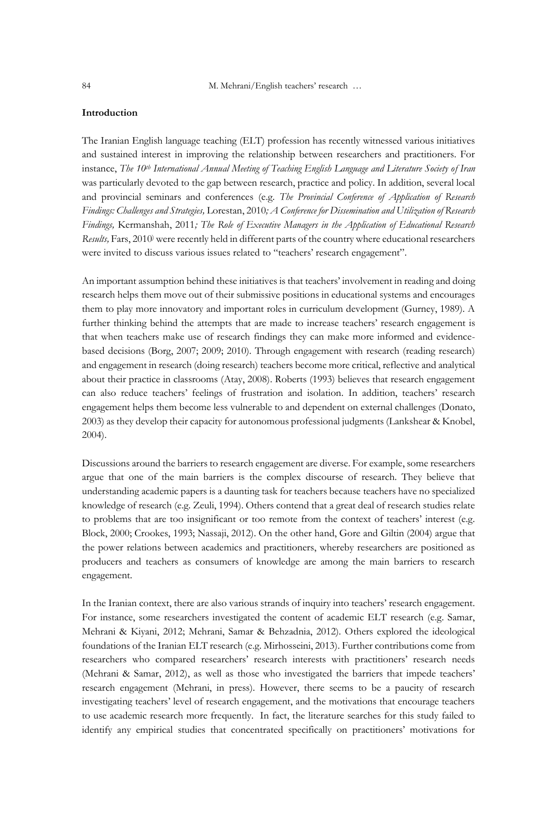84 M. Mehrani/English teachers' research …

#### **Introduction**

The Iranian English language teaching (ELT) profession has recently witnessed various initiatives and sustained interest in improving the relationship between researchers and practitioners. For instance, *The 10th International Annual Meeting of Teaching English Language and Literature Society of Iran* was particularly devoted to the gap between research, practice and policy. In addition, several local and provincial seminars and conferences (e.g. *The Provincial Conference of Application of Research Findings: Challenges and Strategies,* Lorestan, 2010*; A Conference for Dissemination and Utilization of Research Findings,* Kermanshah, 2011*; The Role of Executive Managers in the Application of Educational Research Results,* Fars, 2010) were recently held in different parts of the country where educational researchers were invited to discuss various issues related to "teachers' research engagement".

An important assumption behind these initiatives is that teachers' involvement in reading and doing research helps them move out of their submissive positions in educational systems and encourages them to play more innovatory and important roles in curriculum development (Gurney, 1989). A further thinking behind the attempts that are made to increase teachers' research engagement is that when teachers make use of research findings they can make more informed and evidencebased decisions (Borg, 2007; 2009; 2010). Through engagement with research (reading research) and engagement in research (doing research) teachers become more critical, reflective and analytical about their practice in classrooms (Atay, 2008). Roberts (1993) believes that research engagement can also reduce teachers' feelings of frustration and isolation. In addition, teachers' research engagement helps them become less vulnerable to and dependent on external challenges (Donato, 2003) as they develop their capacity for autonomous professional judgments (Lankshear & Knobel, 2004).

Discussions around the barriers to research engagement are diverse. For example, some researchers argue that one of the main barriers is the complex discourse of research. They believe that understanding academic papers is a daunting task for teachers because teachers have no specialized knowledge of research (e.g. Zeuli, 1994). Others contend that a great deal of research studies relate to problems that are too insignificant or too remote from the context of teachers' interest (e.g. Block, 2000; Crookes, 1993; Nassaji, 2012). On the other hand, Gore and Giltin (2004) argue that the power relations between academics and practitioners, whereby researchers are positioned as producers and teachers as consumers of knowledge are among the main barriers to research engagement.

In the Iranian context, there are also various strands of inquiry into teachers' research engagement. For instance, some researchers investigated the content of academic ELT research (e.g. Samar, Mehrani & Kiyani, 2012; Mehrani, Samar & Behzadnia, 2012). Others explored the ideological foundations of the Iranian ELT research (e.g. Mirhosseini, 2013). Further contributions come from researchers who compared researchers' research interests with practitioners' research needs (Mehrani & Samar, 2012), as well as those who investigated the barriers that impede teachers' research engagement (Mehrani, in press). However, there seems to be a paucity of research investigating teachers' level of research engagement, and the motivations that encourage teachers to use academic research more frequently. In fact, the literature searches for this study failed to identify any empirical studies that concentrated specifically on practitioners' motivations for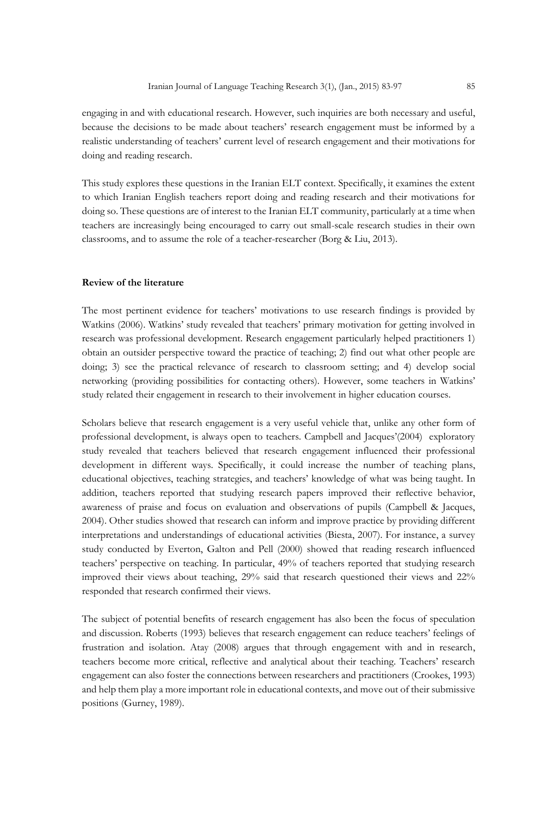engaging in and with educational research. However, such inquiries are both necessary and useful, because the decisions to be made about teachers' research engagement must be informed by a realistic understanding of teachers' current level of research engagement and their motivations for doing and reading research.

This study explores these questions in the Iranian ELT context. Specifically, it examines the extent to which Iranian English teachers report doing and reading research and their motivations for doing so. These questions are of interest to the Iranian ELT community, particularly at a time when teachers are increasingly being encouraged to carry out small-scale research studies in their own classrooms, and to assume the role of a teacher-researcher (Borg & Liu, 2013).

#### **Review of the literature**

The most pertinent evidence for teachers' motivations to use research findings is provided by Watkins (2006). Watkins' study revealed that teachers' primary motivation for getting involved in research was professional development. Research engagement particularly helped practitioners 1) obtain an outsider perspective toward the practice of teaching; 2) find out what other people are doing; 3) see the practical relevance of research to classroom setting; and 4) develop social networking (providing possibilities for contacting others). However, some teachers in Watkins' study related their engagement in research to their involvement in higher education courses.

Scholars believe that research engagement is a very useful vehicle that, unlike any other form of professional development, is always open to teachers. Campbell and Jacques'(2004) exploratory study revealed that teachers believed that research engagement influenced their professional development in different ways. Specifically, it could increase the number of teaching plans, educational objectives, teaching strategies, and teachers' knowledge of what was being taught. In addition, teachers reported that studying research papers improved their reflective behavior, awareness of praise and focus on evaluation and observations of pupils (Campbell & Jacques, 2004). Other studies showed that research can inform and improve practice by providing different interpretations and understandings of educational activities (Biesta, 2007). For instance, a survey study conducted by Everton, Galton and Pell (2000) showed that reading research influenced teachers' perspective on teaching. In particular, 49% of teachers reported that studying research improved their views about teaching, 29% said that research questioned their views and 22% responded that research confirmed their views.

The subject of potential benefits of research engagement has also been the focus of speculation and discussion. Roberts (1993) believes that research engagement can reduce teachers' feelings of frustration and isolation. Atay (2008) argues that through engagement with and in research, teachers become more critical, reflective and analytical about their teaching. Teachers' research engagement can also foster the connections between researchers and practitioners (Crookes, 1993) and help them play a more important role in educational contexts, and move out of their submissive positions (Gurney, 1989).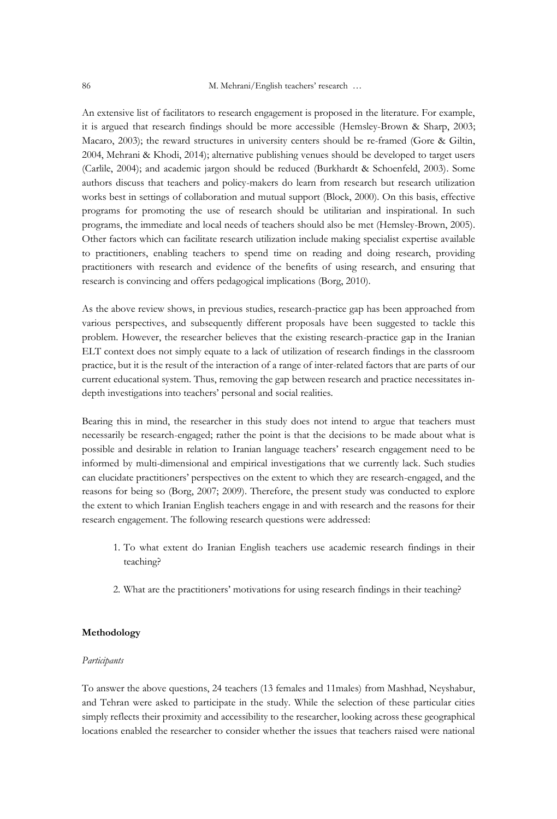An extensive list of facilitators to research engagement is proposed in the literature. For example, it is argued that research findings should be more accessible (Hemsley-Brown & Sharp, 2003; Macaro, 2003); the reward structures in university centers should be re-framed (Gore & Giltin, 2004, Mehrani & Khodi, 2014); alternative publishing venues should be developed to target users (Carlile, 2004); and academic jargon should be reduced (Burkhardt & Schoenfeld, 2003). Some authors discuss that teachers and policy-makers do learn from research but research utilization works best in settings of collaboration and mutual support (Block, 2000). On this basis, effective programs for promoting the use of research should be utilitarian and inspirational. In such programs, the immediate and local needs of teachers should also be met (Hemsley-Brown, 2005). Other factors which can facilitate research utilization include making specialist expertise available to practitioners, enabling teachers to spend time on reading and doing research, providing practitioners with research and evidence of the benefits of using research, and ensuring that research is convincing and offers pedagogical implications (Borg, 2010).

As the above review shows, in previous studies, research-practice gap has been approached from various perspectives, and subsequently different proposals have been suggested to tackle this problem. However, the researcher believes that the existing research-practice gap in the Iranian ELT context does not simply equate to a lack of utilization of research findings in the classroom practice, but it is the result of the interaction of a range of inter-related factors that are parts of our current educational system. Thus, removing the gap between research and practice necessitates indepth investigations into teachers' personal and social realities.

Bearing this in mind, the researcher in this study does not intend to argue that teachers must necessarily be research-engaged; rather the point is that the decisions to be made about what is possible and desirable in relation to Iranian language teachers' research engagement need to be informed by multi-dimensional and empirical investigations that we currently lack. Such studies can elucidate practitioners' perspectives on the extent to which they are research-engaged, and the reasons for being so (Borg, 2007; 2009). Therefore, the present study was conducted to explore the extent to which Iranian English teachers engage in and with research and the reasons for their research engagement. The following research questions were addressed:

- 1. To what extent do Iranian English teachers use academic research findings in their teaching?
- 2. What are the practitioners' motivations for using research findings in their teaching?

#### **Methodology**

#### *Participants*

To answer the above questions, 24 teachers (13 females and 11males) from Mashhad, Neyshabur, and Tehran were asked to participate in the study. While the selection of these particular cities simply reflects their proximity and accessibility to the researcher, looking across these geographical locations enabled the researcher to consider whether the issues that teachers raised were national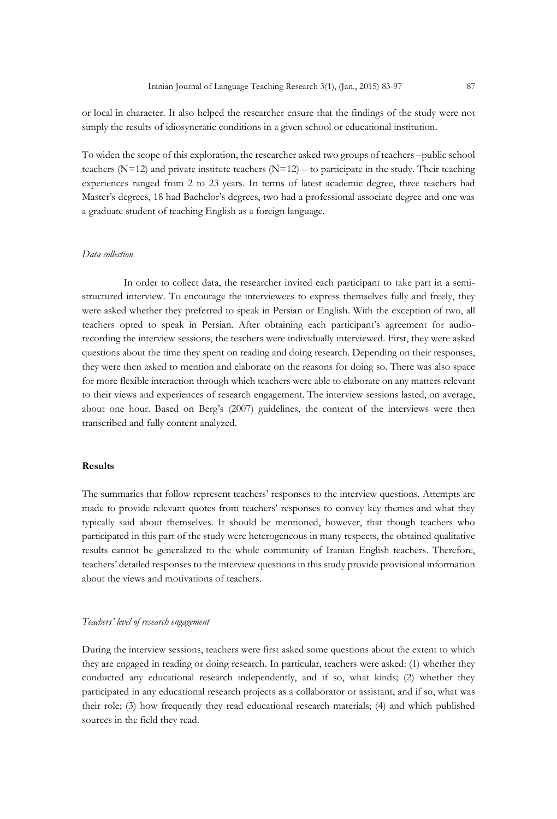or local in character. It also helped the researcher ensure that the findings of the study were not simply the results of idiosyncratic conditions in a given school or educational institution.

To widen the scope of this exploration, the researcher asked two groups of teachers –public school teachers ( $N=12$ ) and private institute teachers ( $N=12$ ) – to participate in the study. Their teaching experiences ranged from 2 to 23 years. In terms of latest academic degree, three teachers had Master's degrees, 18 had Bachelor's degrees, two had a professional associate degree and one was a graduate student of teaching English as a foreign language.

#### *Data collection*

In order to collect data, the researcher invited each participant to take part in a semistructured interview. To encourage the interviewees to express themselves fully and freely, they were asked whether they preferred to speak in Persian or English. With the exception of two, all teachers opted to speak in Persian. After obtaining each participant's agreement for audiorecording the interview sessions, the teachers were individually interviewed. First, they were asked questions about the time they spent on reading and doing research. Depending on their responses, they were then asked to mention and elaborate on the reasons for doing so. There was also space for more flexible interaction through which teachers were able to elaborate on any matters relevant to their views and experiences of research engagement. The interview sessions lasted, on average, about one hour. Based on Berg's (2007) guidelines, the content of the interviews were then transcribed and fully content analyzed.

#### **Results**

The summaries that follow represent teachers' responses to the interview questions. Attempts are made to provide relevant quotes from teachers' responses to convey key themes and what they typically said about themselves. It should be mentioned, however, that though teachers who participated in this part of the study were heterogeneous in many respects, the obtained qualitative results cannot be generalized to the whole community of Iranian English teachers. Therefore, teachers' detailed responses to the interview questions in this study provide provisional information about the views and motivations of teachers.

#### *Teachers' level of research engagement*

During the interview sessions, teachers were first asked some questions about the extent to which they are engaged in reading or doing research. In particular, teachers were asked: (1) whether they conducted any educational research independently, and if so, what kinds; (2) whether they participated in any educational research projects as a collaborator or assistant, and if so, what was their role; (3) how frequently they read educational research materials; (4) and which published sources in the field they read.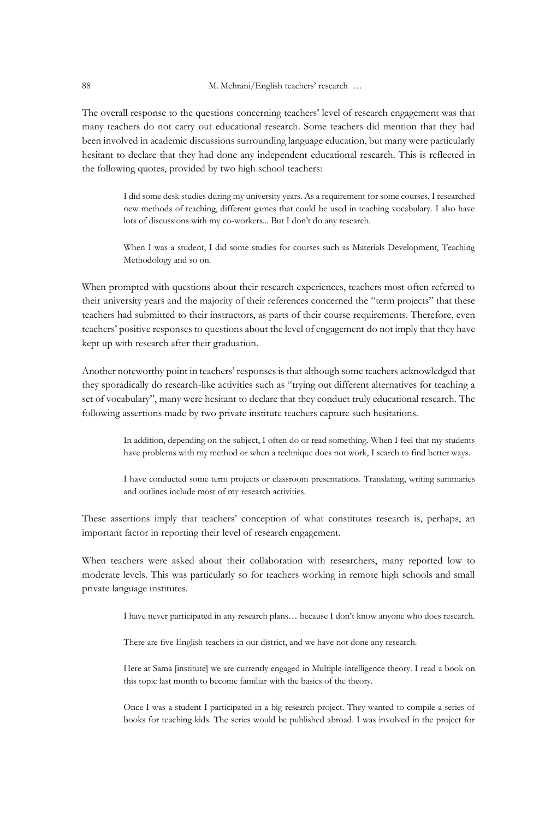The overall response to the questions concerning teachers' level of research engagement was that many teachers do not carry out educational research. Some teachers did mention that they had been involved in academic discussions surrounding language education, but many were particularly hesitant to declare that they had done any independent educational research. This is reflected in the following quotes, provided by two high school teachers:

> I did some desk studies during my university years. As a requirement for some courses, I researched new methods of teaching, different games that could be used in teaching vocabulary. I also have lots of discussions with my co-workers... But I don't do any research.

> When I was a student, I did some studies for courses such as Materials Development, Teaching Methodology and so on.

When prompted with questions about their research experiences, teachers most often referred to their university years and the majority of their references concerned the "term projects" that these teachers had submitted to their instructors, as parts of their course requirements. Therefore, even teachers' positive responses to questions about the level of engagement do not imply that they have kept up with research after their graduation.

Another noteworthy point in teachers' responses is that although some teachers acknowledged that they sporadically do research-like activities such as "trying out different alternatives for teaching a set of vocabulary", many were hesitant to declare that they conduct truly educational research. The following assertions made by two private institute teachers capture such hesitations.

> In addition, depending on the subject, I often do or read something. When I feel that my students have problems with my method or when a technique does not work, I search to find better ways.

> I have conducted some term projects or classroom presentations. Translating, writing summaries and outlines include most of my research activities.

These assertions imply that teachers' conception of what constitutes research is, perhaps, an important factor in reporting their level of research engagement.

When teachers were asked about their collaboration with researchers, many reported low to moderate levels. This was particularly so for teachers working in remote high schools and small private language institutes.

I have never participated in any research plans… because I don't know anyone who does research.

There are five English teachers in our district, and we have not done any research.

Here at Sama [institute] we are currently engaged in Multiple-intelligence theory. I read a book on this topic last month to become familiar with the basics of the theory.

Once I was a student I participated in a big research project. They wanted to compile a series of books for teaching kids. The series would be published abroad. I was involved in the project for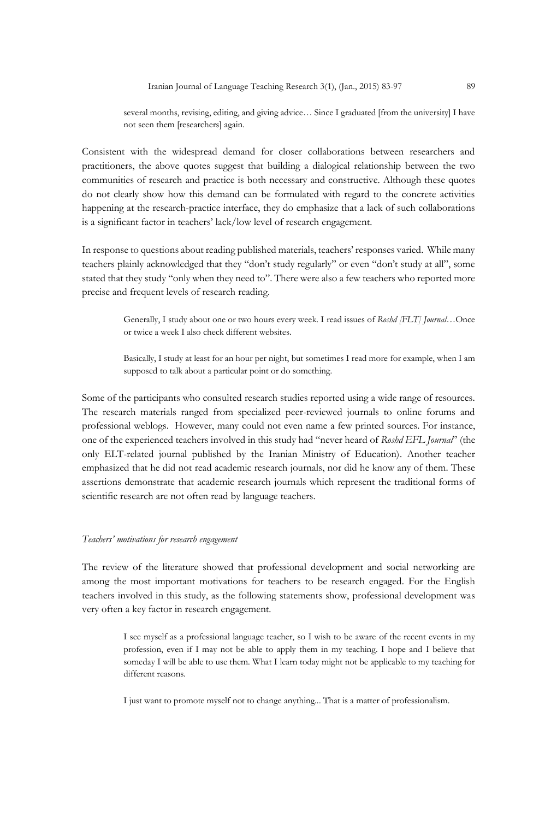several months, revising, editing, and giving advice… Since I graduated [from the university] I have not seen them [researchers] again.

Consistent with the widespread demand for closer collaborations between researchers and practitioners, the above quotes suggest that building a dialogical relationship between the two communities of research and practice is both necessary and constructive. Although these quotes do not clearly show how this demand can be formulated with regard to the concrete activities happening at the research-practice interface, they do emphasize that a lack of such collaborations is a significant factor in teachers' lack/low level of research engagement.

In response to questions about reading published materials, teachers' responses varied. While many teachers plainly acknowledged that they "don't study regularly" or even "don't study at all", some stated that they study "only when they need to". There were also a few teachers who reported more precise and frequent levels of research reading.

> Generally, I study about one or two hours every week. I read issues of *Roshd [FLT] Journal*…Once or twice a week I also check different websites.

> Basically, I study at least for an hour per night, but sometimes I read more for example, when I am supposed to talk about a particular point or do something.

Some of the participants who consulted research studies reported using a wide range of resources. The research materials ranged from specialized peer-reviewed journals to online forums and professional weblogs. However, many could not even name a few printed sources. For instance, one of the experienced teachers involved in this study had "never heard of *Roshd EFL Journal*" (the only ELT-related journal published by the Iranian Ministry of Education). Another teacher emphasized that he did not read academic research journals, nor did he know any of them. These assertions demonstrate that academic research journals which represent the traditional forms of scientific research are not often read by language teachers.

#### *Teachers' motivations for research engagement*

The review of the literature showed that professional development and social networking are among the most important motivations for teachers to be research engaged. For the English teachers involved in this study, as the following statements show, professional development was very often a key factor in research engagement.

> I see myself as a professional language teacher, so I wish to be aware of the recent events in my profession, even if I may not be able to apply them in my teaching. I hope and I believe that someday I will be able to use them. What I learn today might not be applicable to my teaching for different reasons.

I just want to promote myself not to change anything... That is a matter of professionalism.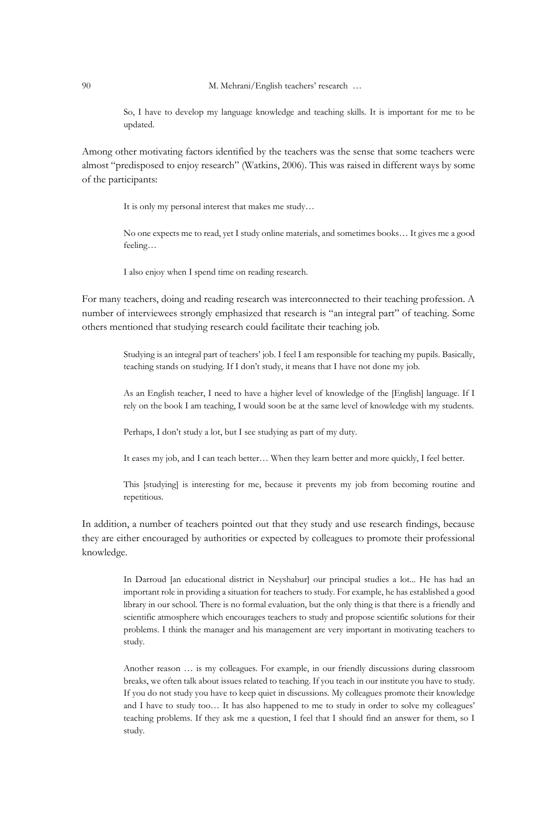So, I have to develop my language knowledge and teaching skills. It is important for me to be updated.

Among other motivating factors identified by the teachers was the sense that some teachers were almost "predisposed to enjoy research" (Watkins, 2006). This was raised in different ways by some of the participants:

It is only my personal interest that makes me study…

No one expects me to read, yet I study online materials, and sometimes books… It gives me a good feeling…

I also enjoy when I spend time on reading research.

For many teachers, doing and reading research was interconnected to their teaching profession. A number of interviewees strongly emphasized that research is "an integral part" of teaching. Some others mentioned that studying research could facilitate their teaching job.

> Studying is an integral part of teachers' job. I feel I am responsible for teaching my pupils. Basically, teaching stands on studying. If I don't study, it means that I have not done my job.

> As an English teacher, I need to have a higher level of knowledge of the [English] language. If I rely on the book I am teaching, I would soon be at the same level of knowledge with my students.

Perhaps, I don't study a lot, but I see studying as part of my duty.

It eases my job, and I can teach better… When they learn better and more quickly, I feel better.

This [studying] is interesting for me, because it prevents my job from becoming routine and repetitious.

In addition, a number of teachers pointed out that they study and use research findings, because they are either encouraged by authorities or expected by colleagues to promote their professional knowledge.

> In Darroud [an educational district in Neyshabur] our principal studies a lot... He has had an important role in providing a situation for teachers to study. For example, he has established a good library in our school. There is no formal evaluation, but the only thing is that there is a friendly and scientific atmosphere which encourages teachers to study and propose scientific solutions for their problems. I think the manager and his management are very important in motivating teachers to study.

> Another reason … is my colleagues. For example, in our friendly discussions during classroom breaks, we often talk about issues related to teaching. If you teach in our institute you have to study. If you do not study you have to keep quiet in discussions. My colleagues promote their knowledge and I have to study too… It has also happened to me to study in order to solve my colleagues' teaching problems. If they ask me a question, I feel that I should find an answer for them, so I study.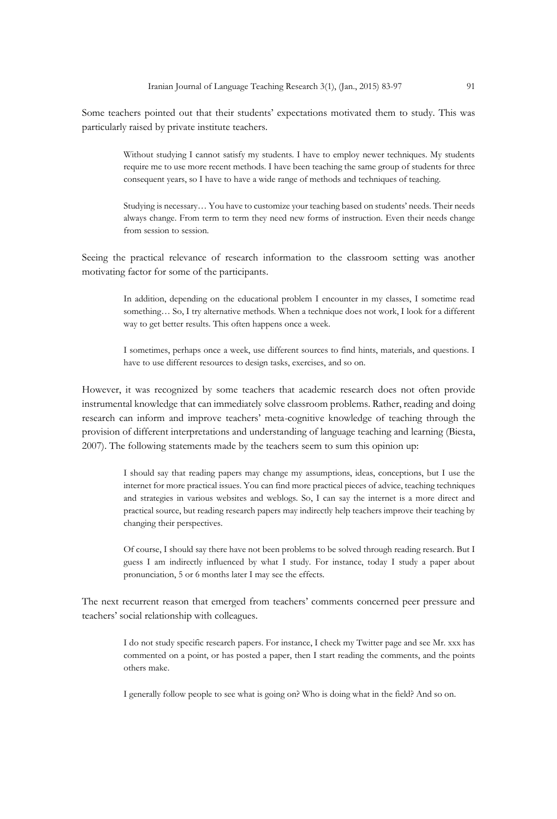Some teachers pointed out that their students' expectations motivated them to study. This was particularly raised by private institute teachers.

> Without studying I cannot satisfy my students. I have to employ newer techniques. My students require me to use more recent methods. I have been teaching the same group of students for three consequent years, so I have to have a wide range of methods and techniques of teaching.

> Studying is necessary… You have to customize your teaching based on students' needs. Their needs always change. From term to term they need new forms of instruction. Even their needs change from session to session.

Seeing the practical relevance of research information to the classroom setting was another motivating factor for some of the participants.

> In addition, depending on the educational problem I encounter in my classes, I sometime read something… So, I try alternative methods. When a technique does not work, I look for a different way to get better results. This often happens once a week.

> I sometimes, perhaps once a week, use different sources to find hints, materials, and questions. I have to use different resources to design tasks, exercises, and so on.

However, it was recognized by some teachers that academic research does not often provide instrumental knowledge that can immediately solve classroom problems. Rather, reading and doing research can inform and improve teachers' meta-cognitive knowledge of teaching through the provision of different interpretations and understanding of language teaching and learning (Biesta, 2007). The following statements made by the teachers seem to sum this opinion up:

> I should say that reading papers may change my assumptions, ideas, conceptions, but I use the internet for more practical issues. You can find more practical pieces of advice, teaching techniques and strategies in various websites and weblogs. So, I can say the internet is a more direct and practical source, but reading research papers may indirectly help teachers improve their teaching by changing their perspectives.

> Of course, I should say there have not been problems to be solved through reading research. But I guess I am indirectly influenced by what I study. For instance, today I study a paper about pronunciation, 5 or 6 months later I may see the effects.

The next recurrent reason that emerged from teachers' comments concerned peer pressure and teachers' social relationship with colleagues.

> I do not study specific research papers. For instance, I check my Twitter page and see Mr. xxx has commented on a point, or has posted a paper, then I start reading the comments, and the points others make.

I generally follow people to see what is going on? Who is doing what in the field? And so on.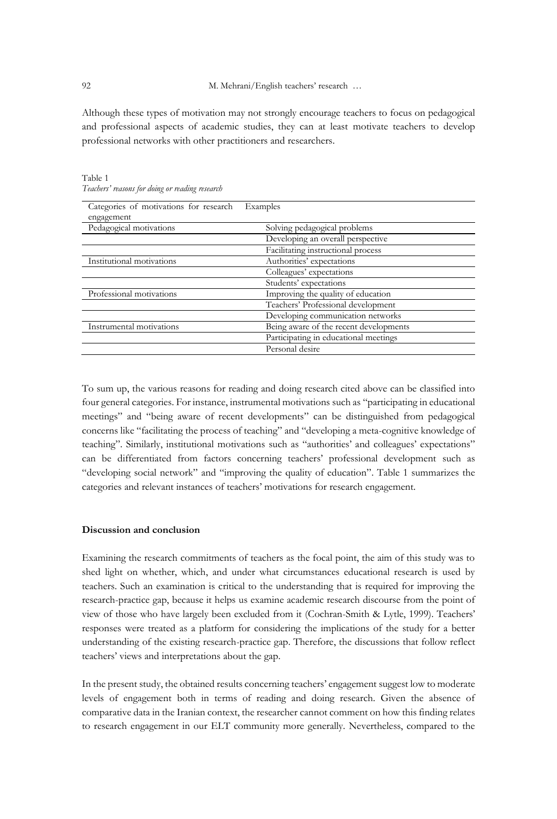92 M. Mehrani/English teachers' research …

Although these types of motivation may not strongly encourage teachers to focus on pedagogical and professional aspects of academic studies, they can at least motivate teachers to develop professional networks with other practitioners and researchers.

| Categories of motivations for research<br>engagement | Examples                               |
|------------------------------------------------------|----------------------------------------|
| Pedagogical motivations                              | Solving pedagogical problems           |
|                                                      | Developing an overall perspective      |
|                                                      | Facilitating instructional process     |
| Institutional motivations                            | Authorities' expectations              |
|                                                      | Colleagues' expectations               |
|                                                      | Students' expectations                 |
| Professional motivations                             | Improving the quality of education     |
|                                                      | Teachers' Professional development     |
|                                                      | Developing communication networks      |
| Instrumental motivations                             | Being aware of the recent developments |
|                                                      | Participating in educational meetings  |
|                                                      | Personal desire                        |

Table 1 *Teachers' reasons for doing or reading research*

To sum up, the various reasons for reading and doing research cited above can be classified into four general categories. For instance, instrumental motivations such as "participating in educational meetings" and "being aware of recent developments" can be distinguished from pedagogical concerns like "facilitating the process of teaching" and "developing a meta-cognitive knowledge of teaching". Similarly, institutional motivations such as "authorities' and colleagues' expectations" can be differentiated from factors concerning teachers' professional development such as "developing social network" and "improving the quality of education". Table 1 summarizes the categories and relevant instances of teachers' motivations for research engagement.

#### **Discussion and conclusion**

Examining the research commitments of teachers as the focal point, the aim of this study was to shed light on whether, which, and under what circumstances educational research is used by teachers. Such an examination is critical to the understanding that is required for improving the research-practice gap, because it helps us examine academic research discourse from the point of view of those who have largely been excluded from it (Cochran-Smith & Lytle, 1999). Teachers' responses were treated as a platform for considering the implications of the study for a better understanding of the existing research-practice gap. Therefore, the discussions that follow reflect teachers' views and interpretations about the gap.

In the present study, the obtained results concerning teachers' engagement suggest low to moderate levels of engagement both in terms of reading and doing research. Given the absence of comparative data in the Iranian context, the researcher cannot comment on how this finding relates to research engagement in our ELT community more generally. Nevertheless, compared to the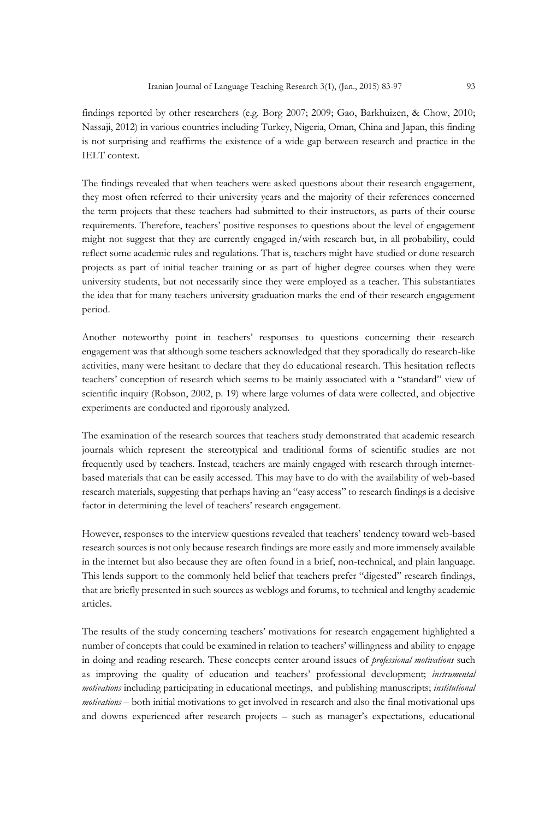findings reported by other researchers (e.g. Borg 2007; 2009; Gao, Barkhuizen, & Chow, 2010; Nassaji, 2012) in various countries including Turkey, Nigeria, Oman, China and Japan, this finding is not surprising and reaffirms the existence of a wide gap between research and practice in the IELT context.

The findings revealed that when teachers were asked questions about their research engagement, they most often referred to their university years and the majority of their references concerned the term projects that these teachers had submitted to their instructors, as parts of their course requirements. Therefore, teachers' positive responses to questions about the level of engagement might not suggest that they are currently engaged in/with research but, in all probability, could reflect some academic rules and regulations. That is, teachers might have studied or done research projects as part of initial teacher training or as part of higher degree courses when they were university students, but not necessarily since they were employed as a teacher. This substantiates the idea that for many teachers university graduation marks the end of their research engagement period.

Another noteworthy point in teachers' responses to questions concerning their research engagement was that although some teachers acknowledged that they sporadically do research-like activities, many were hesitant to declare that they do educational research. This hesitation reflects teachers' conception of research which seems to be mainly associated with a "standard" view of scientific inquiry (Robson, 2002, p. 19) where large volumes of data were collected, and objective experiments are conducted and rigorously analyzed.

The examination of the research sources that teachers study demonstrated that academic research journals which represent the stereotypical and traditional forms of scientific studies are not frequently used by teachers. Instead, teachers are mainly engaged with research through internetbased materials that can be easily accessed. This may have to do with the availability of web-based research materials, suggesting that perhaps having an "easy access" to research findings is a decisive factor in determining the level of teachers' research engagement.

However, responses to the interview questions revealed that teachers' tendency toward web-based research sources is not only because research findings are more easily and more immensely available in the internet but also because they are often found in a brief, non-technical, and plain language. This lends support to the commonly held belief that teachers prefer "digested" research findings, that are briefly presented in such sources as weblogs and forums, to technical and lengthy academic articles.

The results of the study concerning teachers' motivations for research engagement highlighted a number of concepts that could be examined in relation to teachers' willingness and ability to engage in doing and reading research. These concepts center around issues of *professional motivations* such as improving the quality of education and teachers' professional development; *instrumental motivations* including participating in educational meetings, and publishing manuscripts; *institutional motivations* – both initial motivations to get involved in research and also the final motivational ups and downs experienced after research projects – such as manager's expectations, educational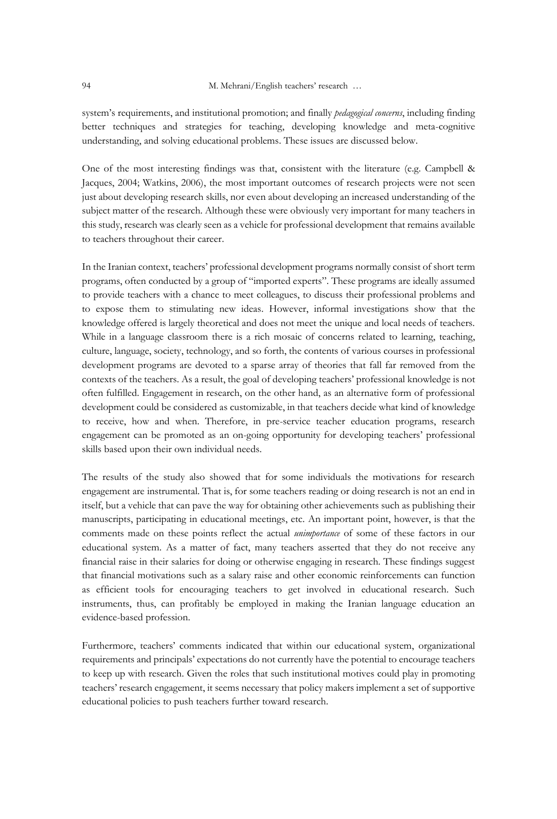system's requirements, and institutional promotion; and finally *pedagogical concerns*, including finding better techniques and strategies for teaching, developing knowledge and meta-cognitive understanding, and solving educational problems. These issues are discussed below.

One of the most interesting findings was that, consistent with the literature (e.g. Campbell & Jacques, 2004; Watkins, 2006), the most important outcomes of research projects were not seen just about developing research skills, nor even about developing an increased understanding of the subject matter of the research. Although these were obviously very important for many teachers in this study, research was clearly seen as a vehicle for professional development that remains available to teachers throughout their career.

In the Iranian context, teachers' professional development programs normally consist of short term programs, often conducted by a group of "imported experts". These programs are ideally assumed to provide teachers with a chance to meet colleagues, to discuss their professional problems and to expose them to stimulating new ideas. However, informal investigations show that the knowledge offered is largely theoretical and does not meet the unique and local needs of teachers. While in a language classroom there is a rich mosaic of concerns related to learning, teaching, culture, language, society, technology, and so forth, the contents of various courses in professional development programs are devoted to a sparse array of theories that fall far removed from the contexts of the teachers. As a result, the goal of developing teachers' professional knowledge is not often fulfilled. Engagement in research, on the other hand, as an alternative form of professional development could be considered as customizable, in that teachers decide what kind of knowledge to receive, how and when. Therefore, in pre-service teacher education programs, research engagement can be promoted as an on-going opportunity for developing teachers' professional skills based upon their own individual needs.

The results of the study also showed that for some individuals the motivations for research engagement are instrumental. That is, for some teachers reading or doing research is not an end in itself, but a vehicle that can pave the way for obtaining other achievements such as publishing their manuscripts, participating in educational meetings, etc. An important point, however, is that the comments made on these points reflect the actual *unimportance* of some of these factors in our educational system. As a matter of fact, many teachers asserted that they do not receive any financial raise in their salaries for doing or otherwise engaging in research. These findings suggest that financial motivations such as a salary raise and other economic reinforcements can function as efficient tools for encouraging teachers to get involved in educational research. Such instruments, thus, can profitably be employed in making the Iranian language education an evidence-based profession.

Furthermore, teachers' comments indicated that within our educational system, organizational requirements and principals' expectations do not currently have the potential to encourage teachers to keep up with research. Given the roles that such institutional motives could play in promoting teachers' research engagement, it seems necessary that policy makers implement a set of supportive educational policies to push teachers further toward research.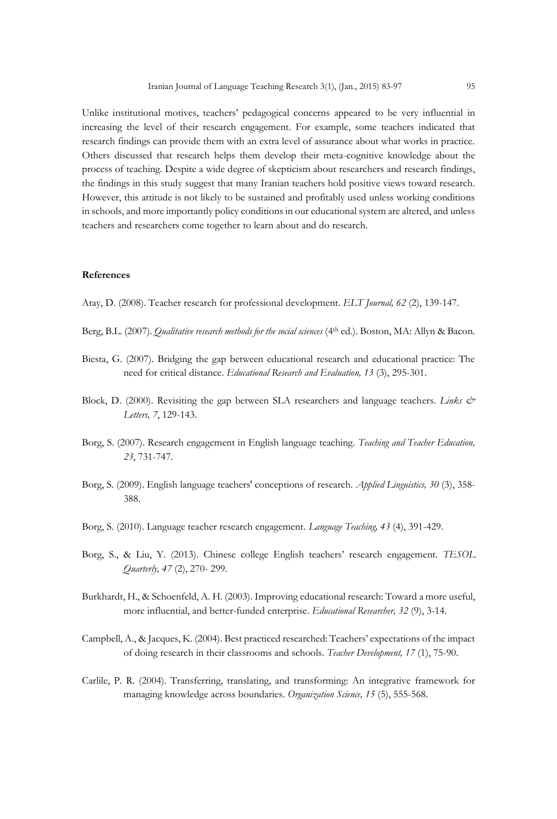Unlike institutional motives, teachers' pedagogical concerns appeared to be very influential in increasing the level of their research engagement. For example, some teachers indicated that research findings can provide them with an extra level of assurance about what works in practice. Others discussed that research helps them develop their meta-cognitive knowledge about the process of teaching. Despite a wide degree of skepticism about researchers and research findings, the findings in this study suggest that many Iranian teachers hold positive views toward research. However, this attitude is not likely to be sustained and profitably used unless working conditions in schools, and more importantly policy conditions in our educational system are altered, and unless teachers and researchers come together to learn about and do research.

#### **References**

- Atay, D. (2008). Teacher research for professional development. *ELT Journal, 62* (2), 139-147.
- Berg, B.L. (2007). *Qualitative research methods for the social sciences* (4<sup>th</sup> ed.). Boston, MA: Allyn & Bacon.
- Biesta, G. (2007). Bridging the gap between educational research and educational practice: The need for critical distance. *Educational Research and Evaluation, 13* (3), 295-301.
- Block, D. (2000). Revisiting the gap between SLA researchers and language teachers. *Links & Letters, 7*, 129-143.
- Borg, S. (2007). Research engagement in English language teaching. *Teaching and Teacher Education, 23*, 731-747.
- Borg, S. (2009). English language teachers' conceptions of research. *Applied Linguistics, 30* (3), 358- 388.
- Borg, S. (2010). Language teacher research engagement. *Language Teaching, 43* (4), 391-429.
- Borg, S., & Liu, Y. (2013). Chinese college English teachers' research engagement. *TESOL Quarterly, 47* (2), 270- 299.
- Burkhardt, H., & Schoenfeld, A. H. (2003). Improving educational research: Toward a more useful, more influential, and better-funded enterprise. *Educational Researcher, 32* (9), 3-14.
- Campbell, A., & Jacques, K. (2004). Best practiced researched: Teachers' expectations of the impact of doing research in their classrooms and schools. *Teacher Development, 17* (1), 75-90.
- Carlile, P. R. (2004). Transferring, translating, and transforming: An integrative framework for managing knowledge across boundaries. *Organization Science, 15* (5), 555-568.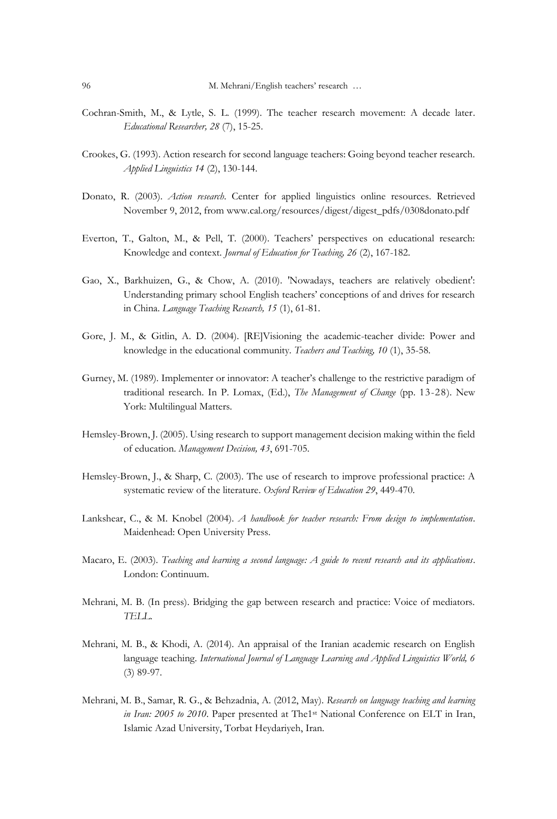- Cochran-Smith, M., & Lytle, S. L. (1999). The teacher research movement: A decade later. *Educational Researcher, 28* (7), 15-25.
- Crookes, G. (1993). Action research for second language teachers: Going beyond teacher research. *Applied Linguistics 14* (2), 130-144.
- Donato, R. (2003). *Action research*. Center for applied linguistics online resources. Retrieved November 9, 2012, from www.cal.org/resources/digest/digest\_pdfs/0308donato.pdf
- Everton, T., Galton, M., & Pell, T. (2000). Teachers' perspectives on educational research: Knowledge and context. *Journal of Education for Teaching, 26* (2), 167-182.
- Gao, X., Barkhuizen, G., & Chow, A. (2010). 'Nowadays, teachers are relatively obedient': Understanding primary school English teachers' conceptions of and drives for research in China. *Language Teaching Research, 15* (1), 61-81.
- Gore, J. M., & Gitlin, A. D. (2004). [RE]Visioning the academic-teacher divide: Power and knowledge in the educational community. *Teachers and Teaching, 10* (1), 35-58.
- Gurney, M. (1989). Implementer or innovator: A teacher's challenge to the restrictive paradigm of traditional research. In P. Lomax, (Ed.), *The Management of Change* (pp. 13-28). New York: Multilingual Matters.
- Hemsley-Brown, J. (2005). Using research to support management decision making within the field of education. *Management Decision, 43*, 691-705.
- Hemsley-Brown, J., & Sharp, C. (2003). The use of research to improve professional practice: A systematic review of the literature. *Oxford Review of Education 29*, 449-470.
- Lankshear, C., & M. Knobel (2004). *A handbook for teacher research: From design to implementation*. Maidenhead: Open University Press.
- Macaro, E. (2003). *Teaching and learning a second language: A guide to recent research and its applications*. London: Continuum.
- Mehrani, M. B. (In press). Bridging the gap between research and practice: Voice of mediators. *TELL*.
- Mehrani, M. B., & Khodi, A. (2014). An appraisal of the Iranian academic research on English language teaching. *International Journal of Language Learning and Applied Linguistics World, 6* (3) 89-97.
- Mehrani, M. B., Samar, R. G., & Behzadnia, A. (2012, May). *Research on language teaching and learning in Iran: 2005 to 2010*. Paper presented at The1st National Conference on ELT in Iran, Islamic Azad University, Torbat Heydariyeh, Iran.